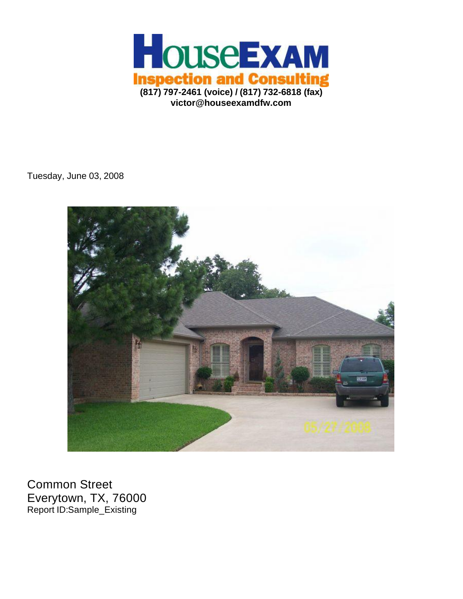

Tuesday, June 03, 2008



Common Street Everytown, TX, 76000 Report ID:Sample\_Existing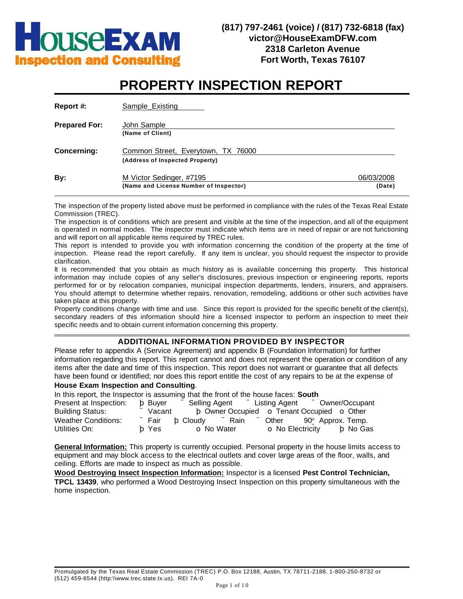

# **PROPERTY INSPECTION REPORT**

| Report #:            | Sample Existing                                                       |                      |
|----------------------|-----------------------------------------------------------------------|----------------------|
| <b>Prepared For:</b> | John Sample<br>(Name of Client)                                       |                      |
| <b>Concerning:</b>   | Common Street, Everytown, TX 76000<br>(Address of Inspected Property) |                      |
| By:                  | M Victor Sedinger, #7195<br>(Name and License Number of Inspector)    | 06/03/2008<br>(Date) |

The inspection of the property listed above must be performed in compliance with the rules of the Texas Real Estate Commission (TREC).

The inspection is of conditions which are present and visible at the time of the inspection, and all of the equipment is operated in normal modes. The inspector must indicate which items are in need of repair or are not functioning and will report on all applicable items required by TREC rules.

This report is intended to provide you with information concerning the condition of the property at the time of inspection. Please read the report carefully. If any item is unclear, you should request the inspector to provide clarification.

It is recommended that you obtain as much history as is available concerning this property. This historical information may include copies of any seller's disclosures, previous inspection or engineering reports, reports performed for or by relocation companies, municipal inspection departments, lenders, insurers, and appraisers. You should attempt to determine whether repairs, renovation, remodeling, additions or other such activities have taken place at this property.

Property conditions change with time and use. Since this report is provided for the specific benefit of the client(s), secondary readers of this information should hire a licensed inspector to perform an inspection to meet their specific needs and to obtain current information concerning this property.

### **ADDITIONAL INFORMATION PROVIDED BY INSPECTOR**

Please refer to appendix A (Service Agreement) and appendix B (Foundation Information) for further information regarding this report. This report cannot and does not represent the operation or condition of any items after the date and time of this inspection. This report does not warrant or guarantee that all defects have been found or identified; nor does this report entitle the cost of any repairs to be at the expense of

#### **House Exam Inspection and Consulting**.

| In this report, the Inspector is assuming that the front of the house faces: South |          |                                                  |                                |  |  |  |  |  |  |
|------------------------------------------------------------------------------------|----------|--------------------------------------------------|--------------------------------|--|--|--|--|--|--|
| Present at Inspection: b Buyer                                                     |          | " Selling Agent " Listing Agent " Owner/Occupant |                                |  |  |  |  |  |  |
| <b>Building Status:</b>                                                            | ∵ Vacant | b Owner Occupied o Tenant Occupied o Other       |                                |  |  |  |  |  |  |
| <b>Weather Conditions:</b>                                                         | ∵ Fair   | b Cloudy<br>∵ Rain                               | Other $90^\circ$ Approx. Temp. |  |  |  |  |  |  |
| Utilities On:                                                                      | b Yes    | o No Water                                       | o No Electricity b No Gas      |  |  |  |  |  |  |

**General Information:** This property is currently occupied. Personal property in the house limits access to equipment and may block access to the electrical outlets and cover large areas of the floor, walls, and ceiling. Efforts are made to inspect as much as possible.

**Wood Destroying Insect Inspection Information:** Inspector is a licensed **Pest Control Technician, TPCL 13439**, who performed a Wood Destroying Insect Inspection on this property simultaneous with the home inspection.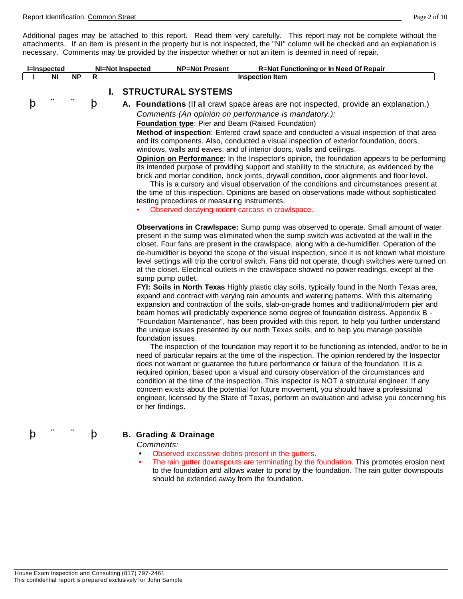Additional pages may be attached to this report. Read them very carefully. This report may not be complete without the attachments. If an item is present in the property but is not inspected, the "NI" column will be checked and an explanation is necessary. Comments may be provided by the inspector whether or not an item is deemed in need of repair.

|   | <b>I</b> =Inspected |           |   |    | <b>NI=Not Inspected</b> | <b>R=Not Functioning or In Need Of Repair</b><br><b>NP=Not Present</b>                                                                                                                                                                                                                                                                                                                                                                                                                                                                                                                                                                                                                                                                                                                                                                                                                                                                                                                                                                                                                                                                                                                                                                                                                                                                                                                                                                                                                                                                                                                                                                                                                                                                                                                                                                                                                                                                                                                                                                                                                                                                                                                                                                                                                                                                                                                                                                                                                                                                                                                                                                                                                                                                                                                                                                                                                                                                                                       |
|---|---------------------|-----------|---|----|-------------------------|------------------------------------------------------------------------------------------------------------------------------------------------------------------------------------------------------------------------------------------------------------------------------------------------------------------------------------------------------------------------------------------------------------------------------------------------------------------------------------------------------------------------------------------------------------------------------------------------------------------------------------------------------------------------------------------------------------------------------------------------------------------------------------------------------------------------------------------------------------------------------------------------------------------------------------------------------------------------------------------------------------------------------------------------------------------------------------------------------------------------------------------------------------------------------------------------------------------------------------------------------------------------------------------------------------------------------------------------------------------------------------------------------------------------------------------------------------------------------------------------------------------------------------------------------------------------------------------------------------------------------------------------------------------------------------------------------------------------------------------------------------------------------------------------------------------------------------------------------------------------------------------------------------------------------------------------------------------------------------------------------------------------------------------------------------------------------------------------------------------------------------------------------------------------------------------------------------------------------------------------------------------------------------------------------------------------------------------------------------------------------------------------------------------------------------------------------------------------------------------------------------------------------------------------------------------------------------------------------------------------------------------------------------------------------------------------------------------------------------------------------------------------------------------------------------------------------------------------------------------------------------------------------------------------------------------------------------------------------|
|   | NI                  | <b>NP</b> | R |    |                         | <b>Inspection Item</b>                                                                                                                                                                                                                                                                                                                                                                                                                                                                                                                                                                                                                                                                                                                                                                                                                                                                                                                                                                                                                                                                                                                                                                                                                                                                                                                                                                                                                                                                                                                                                                                                                                                                                                                                                                                                                                                                                                                                                                                                                                                                                                                                                                                                                                                                                                                                                                                                                                                                                                                                                                                                                                                                                                                                                                                                                                                                                                                                                       |
|   |                     |           |   | L. |                         | <b>STRUCTURAL SYSTEMS</b>                                                                                                                                                                                                                                                                                                                                                                                                                                                                                                                                                                                                                                                                                                                                                                                                                                                                                                                                                                                                                                                                                                                                                                                                                                                                                                                                                                                                                                                                                                                                                                                                                                                                                                                                                                                                                                                                                                                                                                                                                                                                                                                                                                                                                                                                                                                                                                                                                                                                                                                                                                                                                                                                                                                                                                                                                                                                                                                                                    |
| p |                     |           | þ |    | or her findings.        | A. Foundations (If all crawl space areas are not inspected, provide an explanation.)<br>Comments (An opinion on performance is mandatory.):<br>Foundation type: Pier and Beam (Raised Foundation)<br>Method of inspection: Entered crawl space and conducted a visual inspection of that area<br>and its components. Also, conducted a visual inspection of exterior foundation, doors,<br>windows, walls and eaves, and of interior doors, walls and ceilings.<br>Opinion on Performance: In the Inspector's opinion, the foundation appears to be performing<br>its intended purpose of providing support and stability to the structure, as evidenced by the<br>brick and mortar condition, brick joints, drywall condition, door alignments and floor level.<br>This is a cursory and visual observation of the conditions and circumstances present at<br>the time of this inspection. Opinions are based on observations made without sophisticated<br>testing procedures or measuring instruments.<br>Observed decaying rodent carcass in crawlspace.<br>Observations in Crawlspace: Sump pump was observed to operate. Small amount of water<br>present in the sump was eliminated when the sump switch was activated at the wall in the<br>closet. Four fans are present in the crawlspace, along with a de-humidifier. Operation of the<br>de-humidifier is beyond the scope of the visual inspection, since it is not known what moisture<br>level settings will trip the control switch. Fans did not operate, though switches were turned on<br>at the closet. Electrical outlets in the crawlspace showed no power readings, except at the<br>sump pump outlet.<br>FYI: Soils in North Texas Highly plastic clay soils, typically found in the North Texas area,<br>expand and contract with varying rain amounts and watering patterns. With this alternating<br>expansion and contraction of the soils, slab-on-grade homes and traditional/modern pier and<br>beam homes will predictably experience some degree of foundation distress. Appendix B -<br>"Foundation Maintenance", has been provided with this report, to help you further understand<br>the unique issues presented by our north Texas soils, and to help you manage possible<br>foundation issues.<br>The inspection of the foundation may report it to be functioning as intended, and/or to be in<br>need of particular repairs at the time of the inspection. The opinion rendered by the Inspector<br>does not warrant or guarantee the future performance or failure of the foundation. It is a<br>required opinion, based upon a visual and cursory observation of the circumstances and<br>condition at the time of the inspection. This inspector is NOT a structural engineer. If any<br>concern exists about the potential for future movement, you should have a professional<br>engineer, licensed by the State of Texas, perform an evaluation and advise you concerning his |
| p |                     |           | þ |    | Comments:               | <b>B. Grading &amp; Drainage</b><br>Observed excessive debris present in the gutters.                                                                                                                                                                                                                                                                                                                                                                                                                                                                                                                                                                                                                                                                                                                                                                                                                                                                                                                                                                                                                                                                                                                                                                                                                                                                                                                                                                                                                                                                                                                                                                                                                                                                                                                                                                                                                                                                                                                                                                                                                                                                                                                                                                                                                                                                                                                                                                                                                                                                                                                                                                                                                                                                                                                                                                                                                                                                                        |
|   |                     |           |   |    |                         | The rain gutter downspouts are terminating by the foundation. This promotes erosion next<br>to the foundation and allows water to pond by the foundation. The rain gutter downspouts                                                                                                                                                                                                                                                                                                                                                                                                                                                                                                                                                                                                                                                                                                                                                                                                                                                                                                                                                                                                                                                                                                                                                                                                                                                                                                                                                                                                                                                                                                                                                                                                                                                                                                                                                                                                                                                                                                                                                                                                                                                                                                                                                                                                                                                                                                                                                                                                                                                                                                                                                                                                                                                                                                                                                                                         |

should be extended away from the foundation.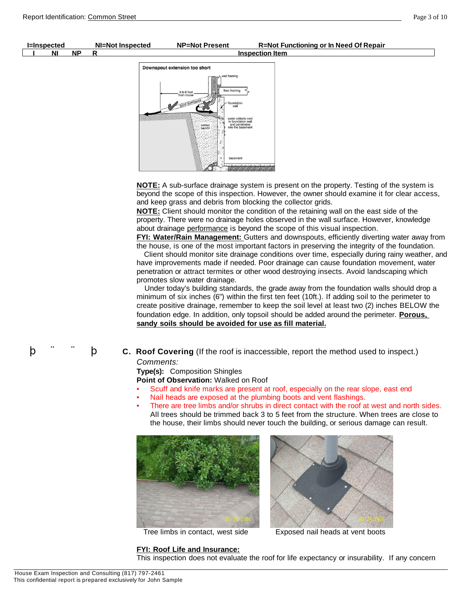



**NOTE:** Client should monitor the condition of the retaining wall on the east side of the property. There were no drainage holes observed in the wall surface. However, knowledge about drainage performance is beyond the scope of this visual inspection.

**FYI: Water/Rain Management:** Gutters and downspouts, efficiently diverting water away from the house, is one of the most important factors in preserving the integrity of the foundation.

Client should monitor site drainage conditions over time, especially during rainy weather, and have improvements made if needed. Poor drainage can cause foundation movement, water penetration or attract termites or other wood destroying insects. Avoid landscaping which promotes slow water drainage.

Under today's building standards, the grade away from the foundation walls should drop a minimum of six inches (6") within the first ten feet (10ft.). If adding soil to the perimeter to create positive drainage, remember to keep the soil level at least two (2) inches BELOW the foundation edge. In addition, only topsoil should be added around the perimeter. **Porous, sandy soils should be avoided for use as fill material.**

þ ¨ ¨ þ **C. Roof Covering** (If the roof is inaccessible, report the method used to inspect.) *Comments:*

**Type(s):** Composition Shingles

**Point of Observation:** Walked on Roof

- Scuff and knife marks are present at roof, especially on the rear slope, east end
- Nail heads are exposed at the plumbing boots and vent flashings.
- There are tree limbs and/or shrubs in direct contact with the roof at west and north sides. All trees should be trimmed back 3 to 5 feet from the structure. When trees are close to the house, their limbs should never touch the building, or serious damage can result.





Tree limbs in contact, west side Exposed nail heads at vent boots

**FYI: Roof Life and Insurance:**

This inspection does not evaluate the roof for life expectancy or insurability. If any concern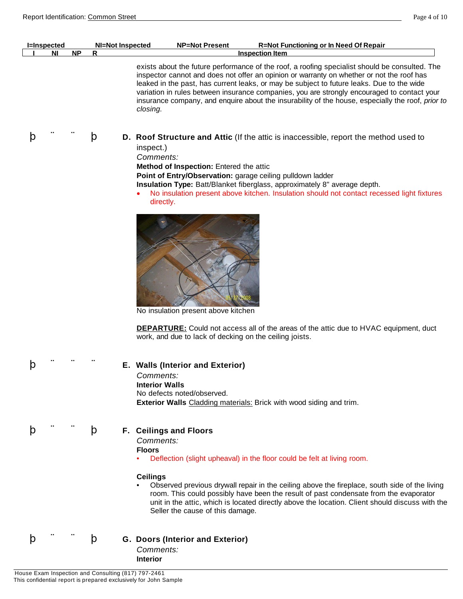| <b>I</b> =Inspected |     | NI=Not Inspected | <b>NP=Not Present</b> | <b>R=Not Functioning or In Need Of Repair</b>                                                                                                                                                                                                                                                                                                                                           |
|---------------------|-----|------------------|-----------------------|-----------------------------------------------------------------------------------------------------------------------------------------------------------------------------------------------------------------------------------------------------------------------------------------------------------------------------------------------------------------------------------------|
| ΝI                  | NP. |                  |                       | <b>Inspection Item</b>                                                                                                                                                                                                                                                                                                                                                                  |
|                     |     |                  |                       | exists about the future performance of the roof, a roofing specialist should be consulted. The<br>inspector cannot and does not offer an opinion or warranty on whether or not the roof has<br>leaked in the past, has current leaks, or may be subject to future leaks. Due to the wide<br>variation in rules between insurance companies, you are strongly encouraged to contact your |

þ ¨ ¨ þ **D. Roof Structure and Attic** (If the attic is inaccessible, report the method used to inspect.) *Comments:*

**Method of Inspection:** Entered the attic

*closing*.

**Point of Entry/Observation:** garage ceiling pulldown ladder

**Insulation Type:** Batt/Blanket fiberglass, approximately 8" average depth.

· No insulation present above kitchen. Insulation should not contact recessed light fixtures directly.

insurance company, and enquire about the insurability of the house, especially the roof, *prior to* 



No insulation present above kitchen

**DEPARTURE:** Could not access all of the areas of the attic due to HVAC equipment, duct work, and due to lack of decking on the ceiling joists.

#### þ ¨ ¨ ¨ **E. Walls (Interior and Exterior)**

*Comments:* **Interior Walls** No defects noted/observed. **Exterior Walls** Cladding materials: Brick with wood siding and trim.

### þ ¨ ¨ þ **F. Ceilings and Floors**

*Comments:* **Floors**

• Deflection (slight upheaval) in the floor could be felt at living room.

#### **Ceilings**

• Observed previous drywall repair in the ceiling above the fireplace, south side of the living room. This could possibly have been the result of past condensate from the evaporator unit in the attic, which is located directly above the location. Client should discuss with the Seller the cause of this damage.

þ ¨ ¨ þ **G. Doors (Interior and Exterior)**  *Comments:* **Interior**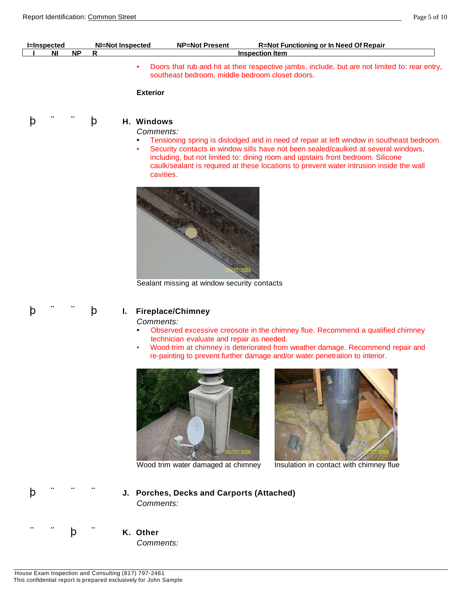| <b>I=Inspected</b> |           | NI=Not Inspected | <b>NP=Not Present</b>                           | R=Not Functioning or In Need Of Repair                                                         |
|--------------------|-----------|------------------|-------------------------------------------------|------------------------------------------------------------------------------------------------|
| ΝI                 | <b>NP</b> |                  |                                                 | <b>Inspection Item</b>                                                                         |
|                    |           |                  | southeast bedroom, middle bedroom closet doors. | Doors that rub and hit at their respective jambs, include, but are not limited to: rear entry, |

**Exterior**



*Comments:*

- Tensioning spring is dislodged and in need of repair at left window in southeast bedroom.
- Security contacts in window sills have not been sealed/caulked at several windows, including, but not limited to: dining room and upstairs front bedroom. Silicone caulk/sealant is required at these locations to prevent water intrusion inside the wall cavities.



Sealant missing at window security contacts

#### þ ¨ ¨ þ **I. Fireplace/Chimney**

*Comments:*

- Observed excessive creosote in the chimney flue. Recommend a qualified chimney technician evaluate and repair as needed.
- Wood trim at chimney is deteriorated from weather damage. Recommend repair and re-painting to prevent further damage and/or water penetration to interior.





Wood trim water damaged at chimney Insulation in contact with chimney flue



- þ ¨ ¨ ¨ **J. Porches, Decks and Carports (Attached)**  *Comments:*
	- - *Comments:*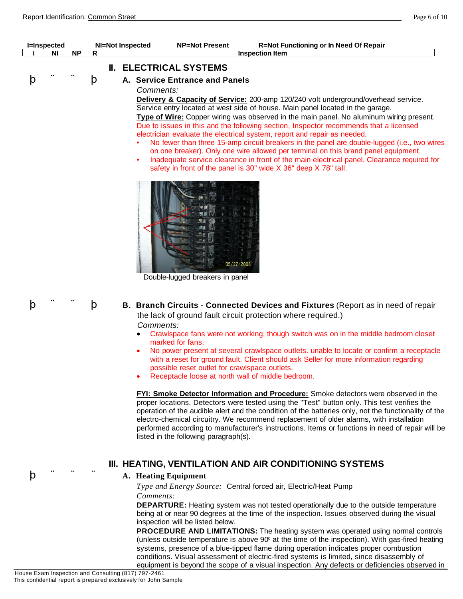|   | <b>I=Inspected</b><br>ΝI | <b>NP</b> | R | <b>Inspection Item</b>                                                                                                                                                                                                                                                                                                                                                                                                                                                                                                                                                                                                                                                                                                                                                                                                                                                          |
|---|--------------------------|-----------|---|---------------------------------------------------------------------------------------------------------------------------------------------------------------------------------------------------------------------------------------------------------------------------------------------------------------------------------------------------------------------------------------------------------------------------------------------------------------------------------------------------------------------------------------------------------------------------------------------------------------------------------------------------------------------------------------------------------------------------------------------------------------------------------------------------------------------------------------------------------------------------------|
| þ |                          |           | þ | <b>II. ELECTRICAL SYSTEMS</b><br>A. Service Entrance and Panels<br>Comments:<br>Delivery & Capacity of Service: 200-amp 120/240 volt underground/overhead service.<br>Service entry located at west side of house. Main panel located in the garage.<br>Type of Wire: Copper wiring was observed in the main panel. No aluminum wiring present.<br>Due to issues in this and the following section, Inspector recommends that a licensed<br>electrician evaluate the electrical system, report and repair as needed.<br>No fewer than three 15-amp circuit breakers in the panel are double-lugged (i.e., two wires<br>on one breaker). Only one wire allowed per terminal on this brand panel equipment.<br>Inadequate service clearance in front of the main electrical panel. Clearance required for<br>٠<br>safety in front of the panel is 30" wide X 36" deep X 78" tall. |
|   |                          |           |   | 05/27/2008<br>Double-lugged breakers in panel                                                                                                                                                                                                                                                                                                                                                                                                                                                                                                                                                                                                                                                                                                                                                                                                                                   |
| þ |                          |           | þ | B. Branch Circuits - Connected Devices and Fixtures (Report as in need of repair<br>the lack of ground fault circuit protection where required.)<br>Comments:<br>Crawlspace fans were not working, though switch was on in the middle bedroom closet<br>marked for fans.<br>No power present at several crawlspace outlets, unable to locate or confirm a receptacle<br>$\bullet$<br>with a reset for ground fault. Client should ask Seller for more information regarding<br>possible reset outlet for crawlspace outlets.<br>Receptacle loose at north wall of middle bedroom.                                                                                                                                                                                                                                                                                               |

proper locations. Detectors were tested using the "Test" button only. This test verifies the operation of the audible alert and the condition of the batteries only, not the functionality of the electro-chemical circuitry. We recommend replacement of older alarms, with installation performed according to manufacturer's instructions. Items or functions in need of repair will be listed in the following paragraph(s).

**III. HEATING, VENTILATION AND AIR CONDITIONING SYSTEMS**

#### þ ¨ ¨ ¨ **A. Heating Equipment**

*Type and Energy Source:* Central forced air, Electric/Heat Pump *Comments:*

**DEPARTURE:** Heating system was not tested operationally due to the outside temperature being at or near 90 degrees at the time of the inspection. Issues observed during the visual inspection will be listed below.

**PROCEDURE AND LIMITATIONS:** The heating system was operated using normal controls (unless outside temperature is above  $90^\circ$  at the time of the inspection). With gas-fired heating systems, presence of a blue-tipped flame during operation indicates proper combustion conditions. Visual assessment of electric-fired systems is limited, since disassembly of equipment is beyond the scope of a visual inspection. Any defects or deficiencies observed in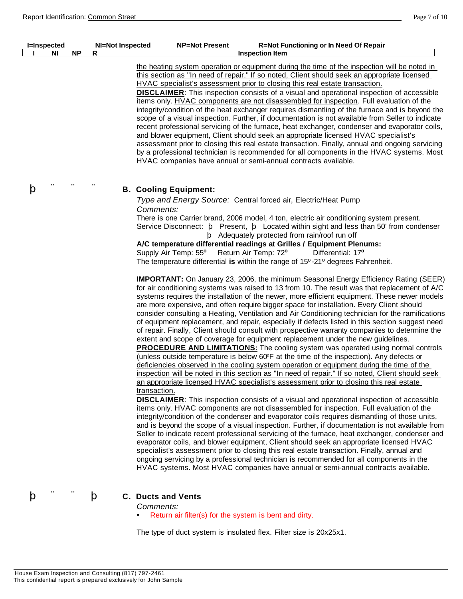| <b>I=Inspected</b> |           | <b>NI=Not Inspected</b> | <b>NP=Not Present</b>                     | <b>R=Not Functioning or In Need Of Repair</b>                                                                                                                                                                                                                                                                                                                                                                                                                                                                                                                                                                                                                                                                                                                                                                                                                                                                                                                                                                                                                                                                                                                                                                                                                                                                                                                                                                                                                                                                                                                                                                                                                                                                                                                                                                                                                                                                                                                                                                                                                     |
|--------------------|-----------|-------------------------|-------------------------------------------|-------------------------------------------------------------------------------------------------------------------------------------------------------------------------------------------------------------------------------------------------------------------------------------------------------------------------------------------------------------------------------------------------------------------------------------------------------------------------------------------------------------------------------------------------------------------------------------------------------------------------------------------------------------------------------------------------------------------------------------------------------------------------------------------------------------------------------------------------------------------------------------------------------------------------------------------------------------------------------------------------------------------------------------------------------------------------------------------------------------------------------------------------------------------------------------------------------------------------------------------------------------------------------------------------------------------------------------------------------------------------------------------------------------------------------------------------------------------------------------------------------------------------------------------------------------------------------------------------------------------------------------------------------------------------------------------------------------------------------------------------------------------------------------------------------------------------------------------------------------------------------------------------------------------------------------------------------------------------------------------------------------------------------------------------------------------|
| ΝI                 | <b>NP</b> | R                       |                                           | <b>Inspection Item</b>                                                                                                                                                                                                                                                                                                                                                                                                                                                                                                                                                                                                                                                                                                                                                                                                                                                                                                                                                                                                                                                                                                                                                                                                                                                                                                                                                                                                                                                                                                                                                                                                                                                                                                                                                                                                                                                                                                                                                                                                                                            |
|                    |           |                         |                                           | the heating system operation or equipment during the time of the inspection will be noted in<br>this section as "In need of repair." If so noted, Client should seek an appropriate licensed<br>HVAC specialist's assessment prior to closing this real estate transaction.<br><b>DISCLAIMER:</b> This inspection consists of a visual and operational inspection of accessible<br>items only. HVAC components are not disassembled for inspection. Full evaluation of the<br>integrity/condition of the heat exchanger requires dismantling of the furnace and is beyond the<br>scope of a visual inspection. Further, if documentation is not available from Seller to indicate<br>recent professional servicing of the furnace, heat exchanger, condenser and evaporator coils,<br>and blower equipment, Client should seek an appropriate licensed HVAC specialist's<br>assessment prior to closing this real estate transaction. Finally, annual and ongoing servicing<br>by a professional technician is recommended for all components in the HVAC systems. Most<br>HVAC companies have annual or semi-annual contracts available.                                                                                                                                                                                                                                                                                                                                                                                                                                                                                                                                                                                                                                                                                                                                                                                                                                                                                                                         |
| p                  |           |                         | <b>B. Cooling Equipment:</b>              |                                                                                                                                                                                                                                                                                                                                                                                                                                                                                                                                                                                                                                                                                                                                                                                                                                                                                                                                                                                                                                                                                                                                                                                                                                                                                                                                                                                                                                                                                                                                                                                                                                                                                                                                                                                                                                                                                                                                                                                                                                                                   |
|                    |           |                         |                                           | Type and Energy Source: Central forced air, Electric/Heat Pump                                                                                                                                                                                                                                                                                                                                                                                                                                                                                                                                                                                                                                                                                                                                                                                                                                                                                                                                                                                                                                                                                                                                                                                                                                                                                                                                                                                                                                                                                                                                                                                                                                                                                                                                                                                                                                                                                                                                                                                                    |
|                    |           |                         | Comments:                                 | There is one Carrier brand, 2006 model, 4 ton, electric air conditioning system present.<br>Service Disconnect: <b>b</b> Present, <b>b</b> Located within sight and less than 50' from condenser<br>b Adequately protected from rain/roof run off<br>A/C temperature differential readings at Grilles / Equipment Plenums:                                                                                                                                                                                                                                                                                                                                                                                                                                                                                                                                                                                                                                                                                                                                                                                                                                                                                                                                                                                                                                                                                                                                                                                                                                                                                                                                                                                                                                                                                                                                                                                                                                                                                                                                        |
|                    |           |                         | Supply Air Temp: 55° Return Air Temp: 72° | Differential: 17 <sup>o</sup>                                                                                                                                                                                                                                                                                                                                                                                                                                                                                                                                                                                                                                                                                                                                                                                                                                                                                                                                                                                                                                                                                                                                                                                                                                                                                                                                                                                                                                                                                                                                                                                                                                                                                                                                                                                                                                                                                                                                                                                                                                     |
|                    |           |                         |                                           | The temperature differential is within the range of 15°-21° degrees Fahrenheit.                                                                                                                                                                                                                                                                                                                                                                                                                                                                                                                                                                                                                                                                                                                                                                                                                                                                                                                                                                                                                                                                                                                                                                                                                                                                                                                                                                                                                                                                                                                                                                                                                                                                                                                                                                                                                                                                                                                                                                                   |
|                    |           |                         | transaction.                              | <b>IMPORTANT:</b> On January 23, 2006, the minimum Seasonal Energy Efficiency Rating (SEER)<br>for air conditioning systems was raised to 13 from 10. The result was that replacement of A/C<br>systems requires the installation of the newer, more efficient equipment. These newer models<br>are more expensive, and often require bigger space for installation. Every Client should<br>consider consulting a Heating, Ventilation and Air Conditioning technician for the ramifications<br>of equipment replacement, and repair, especially if defects listed in this section suggest need<br>of repair. Finally, Client should consult with prospective warranty companies to determine the<br>extent and scope of coverage for equipment replacement under the new guidelines.<br><b>PROCEDURE AND LIMITATIONS:</b> The cooling system was operated using normal controls<br>(unless outside temperature is below 60°F at the time of the inspection). Any defects or<br>deficiencies observed in the cooling system operation or equipment during the time of the<br>inspection will be noted in this section as "In need of repair." If so noted, Client should seek<br>an appropriate licensed HVAC specialist's assessment prior to closing this real estate<br><b>DISCLAIMER:</b> This inspection consists of a visual and operational inspection of accessible<br>items only. HVAC components are not disassembled for inspection. Full evaluation of the<br>integrity/condition of the condenser and evaporator coils requires dismantling of those units,<br>and is beyond the scope of a visual inspection. Further, if documentation is not available from<br>Seller to indicate recent professional servicing of the furnace, heat exchanger, condenser and<br>evaporator coils, and blower equipment, Client should seek an appropriate licensed HVAC<br>specialist's assessment prior to closing this real estate transaction. Finally, annual and<br>ongoing servicing by a professional technician is recommended for all components in the |

## þ ¨ ¨ þ **C. Ducts and Vents**

*Comments:*

Return air filter(s) for the system is bent and dirty.

The type of duct system is insulated flex. Filter size is 20x25x1.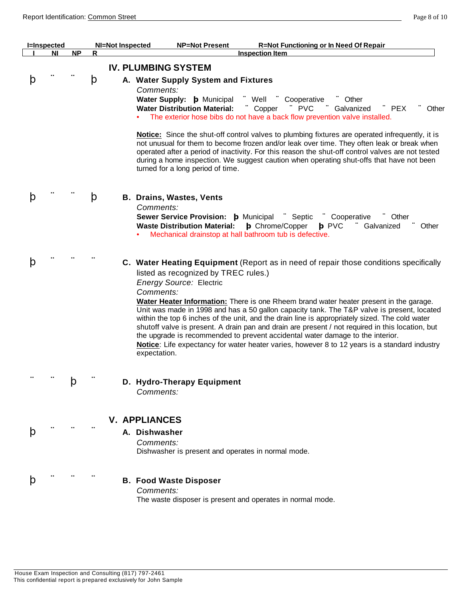|   | <b>I=Inspected</b> |           |   | <b>NI=Not Inspected</b><br><b>NP=Not Present</b><br><b>R=Not Functioning or In Need Of Repair</b>                                                                                                                                                                                                                                                                                                                                                                                                                                                                                                                                                                                                                                                                             |
|---|--------------------|-----------|---|-------------------------------------------------------------------------------------------------------------------------------------------------------------------------------------------------------------------------------------------------------------------------------------------------------------------------------------------------------------------------------------------------------------------------------------------------------------------------------------------------------------------------------------------------------------------------------------------------------------------------------------------------------------------------------------------------------------------------------------------------------------------------------|
|   | <b>NI</b>          | <b>NP</b> | R | <b>Inspection Item</b>                                                                                                                                                                                                                                                                                                                                                                                                                                                                                                                                                                                                                                                                                                                                                        |
|   |                    |           |   | <b>IV. PLUMBING SYSTEM</b>                                                                                                                                                                                                                                                                                                                                                                                                                                                                                                                                                                                                                                                                                                                                                    |
| p |                    |           | þ | A. Water Supply System and Fixtures<br>Comments:<br>Water Supply: b Municipal<br>∵ Well<br>Cooperative<br>Other<br><b>Water Distribution Material:</b><br>" PVC<br>" Copper<br>Galvanized<br>$\mathcal{L}$ PEX<br>Other<br>The exterior hose bibs do not have a back flow prevention valve installed.<br>Notice: Since the shut-off control valves to plumbing fixtures are operated infrequently, it is<br>not unusual for them to become frozen and/or leak over time. They often leak or break when<br>operated after a period of inactivity. For this reason the shut-off control valves are not tested<br>during a home inspection. We suggest caution when operating shut-offs that have not been<br>turned for a long period of time.                                  |
| p |                    |           | þ | <b>B. Drains, Wastes, Vents</b><br>Comments:<br>Sewer Service Provision: b Municipal "Septic<br>Cooperative<br>Other<br><b>Waste Distribution Material:</b><br><b>b</b> Chrome/Copper<br><b>b</b> PVC<br>Galvanized<br>Other<br>Mechanical drainstop at hall bathroom tub is defective.                                                                                                                                                                                                                                                                                                                                                                                                                                                                                       |
| þ |                    |           |   | C. Water Heating Equipment (Report as in need of repair those conditions specifically<br>listed as recognized by TREC rules.)<br><b>Energy Source: Electric</b><br>Comments:<br>Water Heater Information: There is one Rheem brand water heater present in the garage.<br>Unit was made in 1998 and has a 50 gallon capacity tank. The T&P valve is present, located<br>within the top 6 inches of the unit, and the drain line is appropriately sized. The cold water<br>shutoff valve is present. A drain pan and drain are present / not required in this location, but<br>the upgrade is recommended to prevent accidental water damage to the interior.<br>Notice: Life expectancy for water heater varies, however 8 to 12 years is a standard industry<br>expectation. |
|   |                    | þ         |   | D. Hydro-Therapy Equipment<br>Comments:                                                                                                                                                                                                                                                                                                                                                                                                                                                                                                                                                                                                                                                                                                                                       |
| þ |                    |           |   | <b>V. APPLIANCES</b><br>A. Dishwasher<br>Comments:<br>Dishwasher is present and operates in normal mode.                                                                                                                                                                                                                                                                                                                                                                                                                                                                                                                                                                                                                                                                      |
|   |                    |           |   | <b>B. Food Waste Disposer</b><br>Comments:<br>The waste disposer is present and operates in normal mode.                                                                                                                                                                                                                                                                                                                                                                                                                                                                                                                                                                                                                                                                      |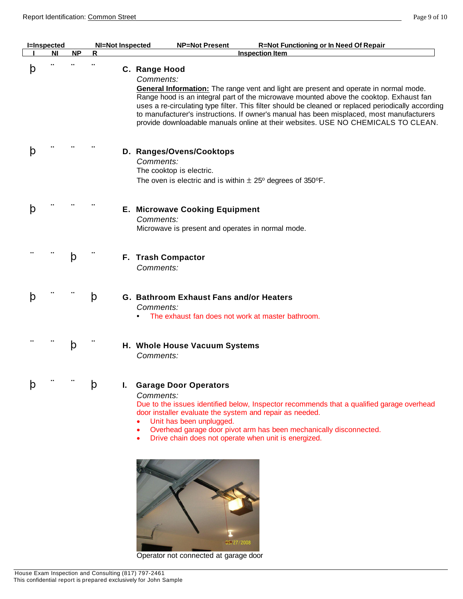|   | <b>I=Inspected</b> |           | <b>NI=Not Inspected</b> | <b>NP=Not Present</b><br><b>R=Not Functioning or In Need Of Repair</b>                                                                                                                                                                                                                                                                                                                                                                                                                                |
|---|--------------------|-----------|-------------------------|-------------------------------------------------------------------------------------------------------------------------------------------------------------------------------------------------------------------------------------------------------------------------------------------------------------------------------------------------------------------------------------------------------------------------------------------------------------------------------------------------------|
|   | ΝI                 | <b>NP</b> | R                       | <b>Inspection Item</b>                                                                                                                                                                                                                                                                                                                                                                                                                                                                                |
| p |                    |           |                         | C. Range Hood<br>Comments:<br>General Information: The range vent and light are present and operate in normal mode.<br>Range hood is an integral part of the microwave mounted above the cooktop. Exhaust fan<br>uses a re-circulating type filter. This filter should be cleaned or replaced periodically according<br>to manufacturer's instructions. If owner's manual has been misplaced, most manufacturers<br>provide downloadable manuals online at their websites. USE NO CHEMICALS TO CLEAN. |
|   |                    |           |                         | D. Ranges/Ovens/Cooktops<br>Comments:<br>The cooktop is electric.<br>The oven is electric and is within $\pm 25^{\circ}$ degrees of 350°F.                                                                                                                                                                                                                                                                                                                                                            |
|   |                    |           |                         | <b>E. Microwave Cooking Equipment</b><br>Comments:<br>Microwave is present and operates in normal mode.                                                                                                                                                                                                                                                                                                                                                                                               |
|   |                    | þ         |                         | F. Trash Compactor<br>Comments:                                                                                                                                                                                                                                                                                                                                                                                                                                                                       |
| p |                    |           | þ                       | G. Bathroom Exhaust Fans and/or Heaters<br>Comments:<br>The exhaust fan does not work at master bathroom.                                                                                                                                                                                                                                                                                                                                                                                             |
|   |                    | þ         |                         | H. Whole House Vacuum Systems<br>Comments:                                                                                                                                                                                                                                                                                                                                                                                                                                                            |
|   |                    |           | $\mathsf{p}$            | <b>Garage Door Operators</b><br>Comments:<br>Due to the issues identified below, Inspector recommends that a qualified garage overhead<br>door installer evaluate the system and repair as needed.<br>Unit has been unplugged.<br>Overhead garage door pivot arm has been mechanically disconnected.<br>Drive chain does not operate when unit is energized.                                                                                                                                          |



Operator not connected at garage door